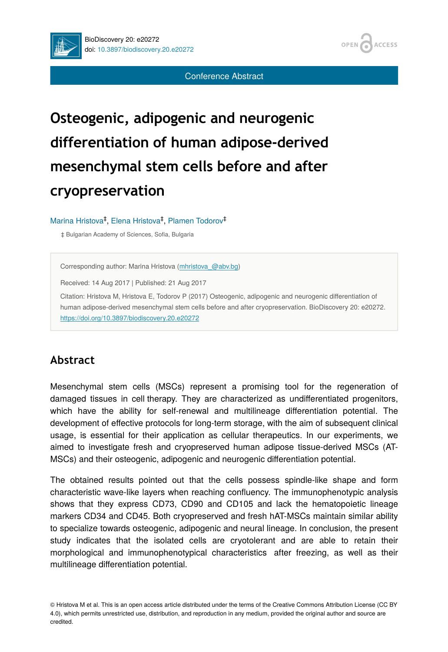

Conference Abstract

**ACCESS** 

OPEN

# **Osteogenic, adipogenic and neurogenic differentiation of human adipose-derived mesenchymal stem cells before and after cryopreservation**

#### Marina Hristova<sup>‡</sup>, Elena Hristova<sup>‡</sup>, Plamen Todorov<sup>‡</sup>

‡ Bulgarian Academy of Sciences, Sofia, Bulgaria

Corresponding author: Marina Hristova [\(mhristova\\_@abv.bg](mailto:mhristova_@abv.bg))

Received: 14 Aug 2017 | Published: 21 Aug 2017

Citation: Hristova M, Hristova E, Todorov P (2017) Osteogenic, adipogenic and neurogenic differentiation of human adipose-derived mesenchymal stem cells before and after cryopreservation. BioDiscovery 20: e20272. <https://doi.org/10.3897/biodiscovery.20.e20272>

#### **Abstract**

Mesenchymal stem cells (MSCs) represent a promising tool for the regeneration of damaged tissues in cell therapy. They are characterized as undifferentiated progenitors, which have the ability for self-renewal and multilineage differentiation potential. The development of effective protocols for long-term storage, with the aim of subsequent clinical usage, is essential for their application as cellular therapeutics. In our experiments, we aimed to investigate fresh and cryopreserved human adipose tissue-derived MSCs (AT-MSCs) and their osteogenic, adipogenic and neurogenic differentiation potential.

The obtained results pointed out that the cells possess spindle-like shape and form characteristic wave-like layers when reaching confluency. The immunophenotypic analysis shows that they express CD73, CD90 and CD105 and lack the hematopoiеtic lineage markers CD34 and CD45. Both cryopreserved and fresh hAT-MSCs maintain similar ability to specialize towards osteogenic, adipogenic and neural lineage. In conclusion, the present study indicates that the isolated cells are cryotolerant and are able to retain their morphological and immunophenotypical characteristics after freezing, as well as their multilineage differentiation potential.

© Hristova M et al. This is an open access article distributed under the terms of the Creative Commons Attribution License (CC BY 4.0), which permits unrestricted use, distribution, and reproduction in any medium, provided the original author and source are credited.